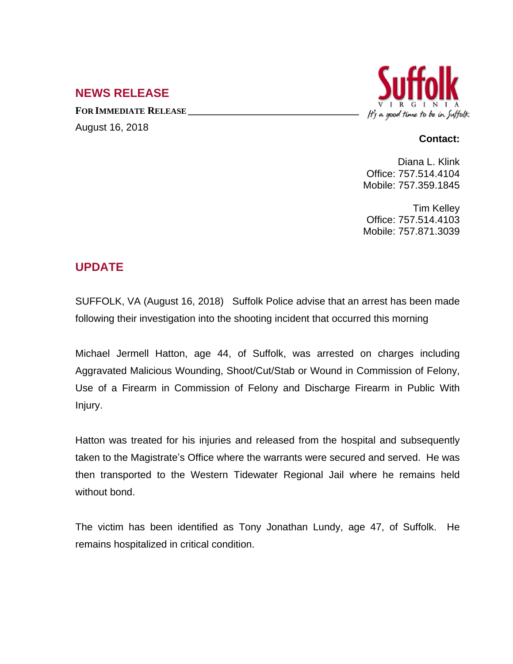## **NEWS RELEASE**

**FOR IMMEDIATE RELEASE \_\_\_\_\_\_\_\_\_\_\_\_\_\_\_\_\_\_\_\_\_\_\_\_\_\_\_\_\_\_\_\_\_\_** August 16, 2018



## **Contact:**

Diana L. Klink Office: 757.514.4104 Mobile: 757.359.1845

Tim Kelley Office: 757.514.4103 Mobile: 757.871.3039

## **UPDATE**

SUFFOLK, VA (August 16, 2018) Suffolk Police advise that an arrest has been made following their investigation into the shooting incident that occurred this morning

Michael Jermell Hatton, age 44, of Suffolk, was arrested on charges including Aggravated Malicious Wounding, Shoot/Cut/Stab or Wound in Commission of Felony, Use of a Firearm in Commission of Felony and Discharge Firearm in Public With Injury.

Hatton was treated for his injuries and released from the hospital and subsequently taken to the Magistrate's Office where the warrants were secured and served. He was then transported to the Western Tidewater Regional Jail where he remains held without bond.

The victim has been identified as Tony Jonathan Lundy, age 47, of Suffolk. He remains hospitalized in critical condition.